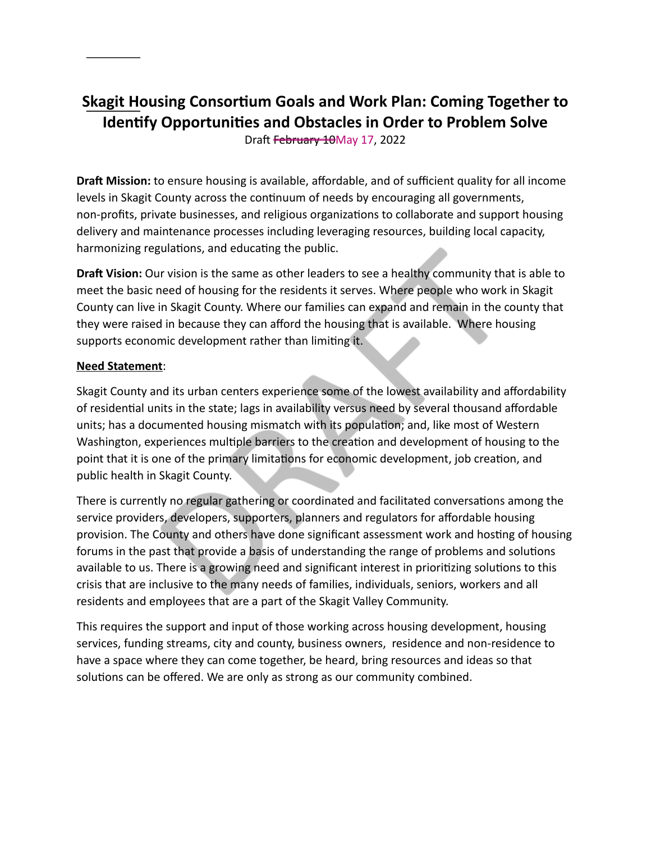# **Skagit Housing Consortium Goals and Work Plan: Coming Together to Identify Opportunities and Obstacles in Order to Problem Solve**

Draft February 10May 17, 2022

**Draft Mission:** to ensure housing is available, affordable, and of sufficient quality for all income levels in Skagit County across the continuum of needs by encouraging all governments, non-profits, private businesses, and religious organizations to collaborate and support housing delivery and maintenance processes including leveraging resources, building local capacity, harmonizing regulations, and educating the public.

**Draft Vision:** Our vision is the same as other leaders to see a healthy community that is able to meet the basic need of housing for the residents it serves. Where people who work in Skagit County can live in Skagit County. Where our families can expand and remain in the county that they were raised in because they can afford the housing that is available. Where housing supports economic development rather than limiting it.

#### **Need Statement**:

Skagit County and its urban centers experience some of the lowest availability and affordability of residential units in the state; lags in availability versus need by several thousand affordable units; has a documented housing mismatch with its population; and, like most of Western Washington, experiences multiple barriers to the creation and development of housing to the point that it is one of the primary limitations for economic development, job creation, and public health in Skagit County.

There is currently no regular gathering or coordinated and facilitated conversations among the service providers, developers, supporters, planners and regulators for affordable housing provision. The County and others have done significant assessment work and hosting of housing forums in the past that provide a basis of understanding the range of problems and solutions available to us. There is a growing need and significant interest in prioritizing solutions to this crisis that are inclusive to the many needs of families, individuals, seniors, workers and all residents and employees that are a part of the Skagit Valley Community.

This requires the support and input of those working across housing development, housing services, funding streams, city and county, business owners, residence and non-residence to have a space where they can come together, be heard, bring resources and ideas so that solutions can be offered. We are only as strong as our community combined.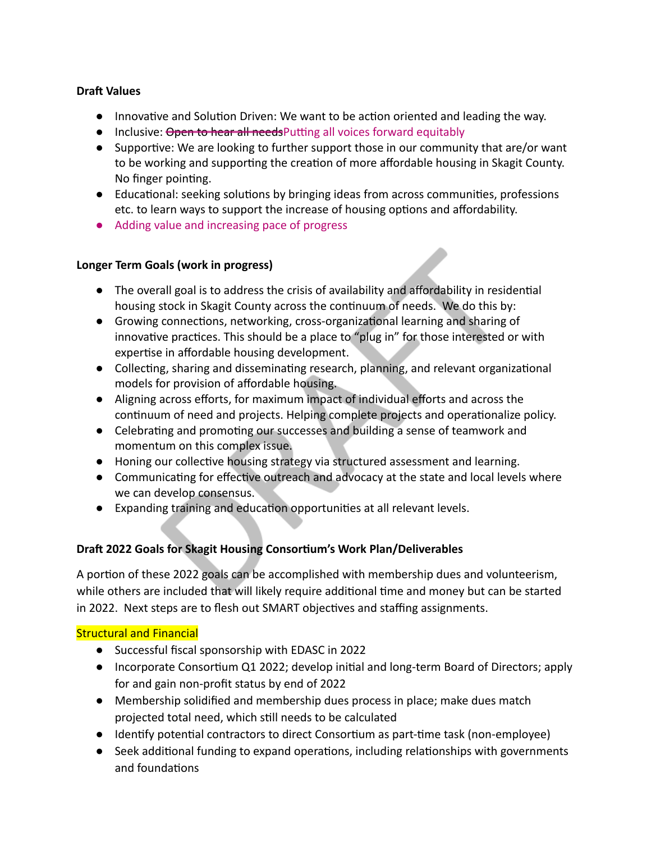## **Draft Values**

- Innovative and Solution Driven: We want to be action oriented and leading the way.
- Inclusive: Open to hear all needs Putting all voices forward equitably
- $\bullet$  Supportive: We are looking to further support those in our community that are/or want to be working and supporting the creation of more affordable housing in Skagit County. No finger pointing.
- Educational: seeking solutions by bringing ideas from across communities, professions etc. to learn ways to support the increase of housing options and affordability.
- Adding value and increasing pace of progress

## **Longer Term Goals (work in progress)**

- The overall goal is to address the crisis of availability and affordability in residential housing stock in Skagit County across the continuum of needs. We do this by:
- Growing connections, networking, cross-organizational learning and sharing of innovative practices. This should be a place to "plug in" for those interested or with expertise in affordable housing development.
- Collecting, sharing and disseminating research, planning, and relevant organizational models for provision of affordable housing.
- Aligning across efforts, for maximum impact of individual efforts and across the continuum of need and projects. Helping complete projects and operationalize policy.
- Celebrating and promoting our successes and building a sense of teamwork and momentum on this complex issue.
- Honing our collective housing strategy via structured assessment and learning.
- Communicating for effective outreach and advocacy at the state and local levels where we can develop consensus.
- Expanding training and education opportunities at all relevant levels.

# **Draft 2022 Goals for Skagit Housing Consortium's Work Plan/Deliverables**

A portion of these 2022 goals can be accomplished with membership dues and volunteerism, while others are included that will likely require additional time and money but can be started in 2022. Next steps are to flesh out SMART objectives and staffing assignments.

# Structural and Financial

- Successful fiscal sponsorship with EDASC in 2022
- Incorporate Consortium Q1 2022; develop initial and long-term Board of Directors; apply for and gain non-profit status by end of 2022
- Membership solidified and membership dues process in place; make dues match projected total need, which still needs to be calculated
- Identify potential contractors to direct Consortium as part-time task (non-employee)
- Seek additional funding to expand operations, including relationships with governments and foundations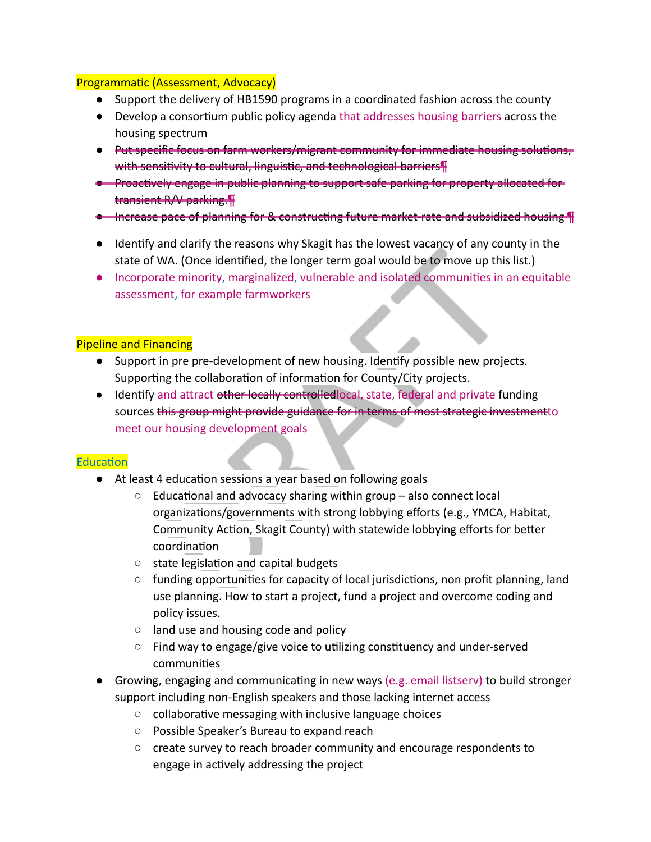#### Programmatic (Assessment, Advocacy)

- Support the delivery of HB1590 programs in a coordinated fashion across the county
- Develop a consortium public policy agenda that addresses housing barriers across the housing spectrum
- Put specific focus on farm workers/migrant community for immediate housing solutions, with sensitivity to cultural, linguistic, and technological barriers¶
- Proactively engage in public planning to support safe parking for property allocated for transient R/V parking.¶
- Increase pace of planning for & constructing future market-rate and subsidized housing ¶
- Identify and clarify the reasons why Skagit has the lowest vacancy of any county in the state of WA. (Once idenfied, the longer term goal would be to move up this list.)
- Incorporate minority, marginalized, vulnerable and isolated communities in an equitable assessment, for example farmworkers

## Pipeline and Financing

- Support in pre pre-development of new housing. Idenfy possible new projects. Supporting the collaboration of information for County/City projects.
- Identify and attract other locally controlled local, state, federal and private funding sources this group might provide guidance for in terms of most strategic investment to meet our housing development goals

## Education

- At least 4 education sessions a year based on following goals
	- $\circ$  Educational and advocacy sharing within group also connect local organizations/governments with strong lobbying efforts (e.g., YMCA, Habitat, Community Action, Skagit County) with statewide lobbying efforts for better coordination
	- $\circ$  state legislation and capital budgets
	- $\circ$  funding opportunities for capacity of local jurisdictions, non profit planning, land use planning. How to start a project, fund a project and overcome coding and policy issues.
	- land use and housing code and policy
	- $\circ$  Find way to engage/give voice to utilizing constituency and under-served communities
- Growing, engaging and communicating in new ways (e.g. email listserv) to build stronger support including non-English speakers and those lacking internet access
	- $\circ$  collaborative messaging with inclusive language choices
	- Possible Speaker's Bureau to expand reach
	- create survey to reach broader community and encourage respondents to engage in actively addressing the project